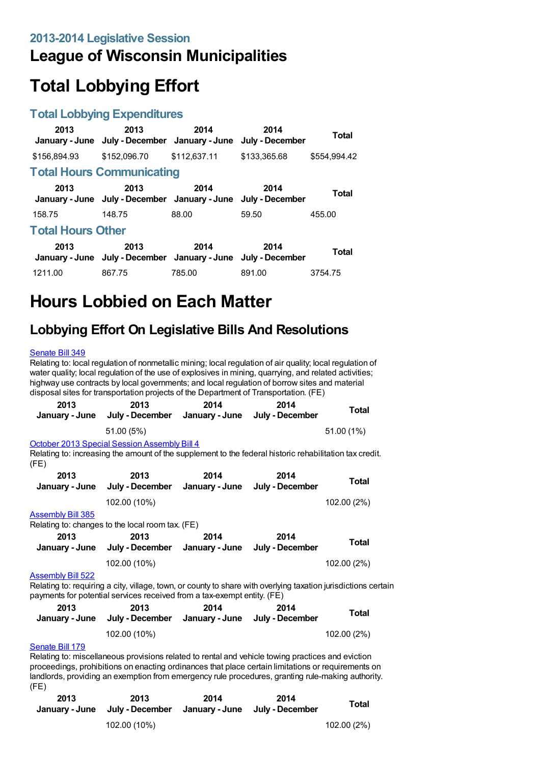## **League of Wisconsin Municipalities**

# **Total Lobbying Effort**

#### **Total Lobbying Expenditures**

| 2013                     | 2013<br>January - June July - December January - June July - December | 2014         | 2014         | Total        |  |
|--------------------------|-----------------------------------------------------------------------|--------------|--------------|--------------|--|
| \$156,894.93             | \$152,096.70                                                          | \$112,637.11 | \$133,365.68 | \$554.994.42 |  |
|                          | <b>Total Hours Communicating</b>                                      |              |              |              |  |
| 2013                     | 2013<br>January - June July - December January - June July - December | 2014         | 2014         | Total        |  |
| 158.75                   | 148.75                                                                | 88.00        | 59.50        | 455.00       |  |
| <b>Total Hours Other</b> |                                                                       |              |              |              |  |
| 2013                     | 2013<br>January - June July - December January - June July - December | 2014         | 2014         | <b>Total</b> |  |
| 1211.00                  | 867.75                                                                | 785.00       | 891.00       | 3754.75      |  |

## **Hours Lobbied on Each Matter**

### **Lobbying Effort On Legislative Bills And Resolutions**

#### [Senate](https://lobbying.wi.gov/What/BillInformation/2013REG/Information/10614?tab=Efforts) Bill 349

Relating to: local regulation of nonmetallic mining; local regulation of air quality; local regulation of water quality; local regulation of the use of explosives in mining, quarrying, and related activities; highway use contracts by local governments; and local regulation of borrow sites and material disposal sites for transportation projects of the Department of Transportation. (FE)

| 2013                                                                                                                                                                                                                  | 2013<br>January - June July - December January - June July - December                                                                                          | 2014 | 2014                    | Total       |  |  |
|-----------------------------------------------------------------------------------------------------------------------------------------------------------------------------------------------------------------------|----------------------------------------------------------------------------------------------------------------------------------------------------------------|------|-------------------------|-------------|--|--|
|                                                                                                                                                                                                                       | 51.00 (5%)                                                                                                                                                     |      |                         | 51.00 (1%)  |  |  |
| (FE)                                                                                                                                                                                                                  | <b>October 2013 Special Session Assembly Bill 4</b><br>Relating to: increasing the amount of the supplement to the federal historic rehabilitation tax credit. |      |                         |             |  |  |
| 2013                                                                                                                                                                                                                  | 2013<br>January - June July - December January - June July - December                                                                                          | 2014 | 2014                    | Total       |  |  |
|                                                                                                                                                                                                                       | 102.00 (10%)                                                                                                                                                   |      |                         | 102.00 (2%) |  |  |
| <b>Assembly Bill 385</b><br>Relating to: changes to the local room tax. (FE)                                                                                                                                          |                                                                                                                                                                |      |                         |             |  |  |
| 2013                                                                                                                                                                                                                  | 2013<br>January - June July - December January - June                                                                                                          | 2014 | 2014<br>July - December | Total       |  |  |
|                                                                                                                                                                                                                       | 102.00 (10%)                                                                                                                                                   |      |                         | 102.00 (2%) |  |  |
| <b>Assembly Bill 522</b><br>Relating to: requiring a city, village, town, or county to share with overlying taxation jurisdictions certain<br>payments for potential services received from a tax-exempt entity. (FE) |                                                                                                                                                                |      |                         |             |  |  |
| 2013                                                                                                                                                                                                                  | 2013                                                                                                                                                           | 2014 | 2014                    | $T0$ tal    |  |  |

| LU IJ | LU IJ<br>January - June July - December January - June July - December | ZU 14 | ZU 14 | Total       |
|-------|------------------------------------------------------------------------|-------|-------|-------------|
|       | 102.00 (10%)                                                           |       |       | 102.00 (2%) |

#### [Senate](https://lobbying.wi.gov/What/BillInformation/2013REG/Information/10070?tab=Efforts) Bill 179

Relating to: miscellaneous provisions related to rental and vehicle towing practices and eviction proceedings, prohibitions on enacting ordinances that place certain limitations or requirements on landlords, providing an exemption from emergency rule procedures, granting rule-making authority. (FE)

| 2013 | 2013<br>January - June July - December January - June July - December | 2014 | 2014 | Total       |
|------|-----------------------------------------------------------------------|------|------|-------------|
|      | 102.00 (10%)                                                          |      |      | 102.00 (2%) |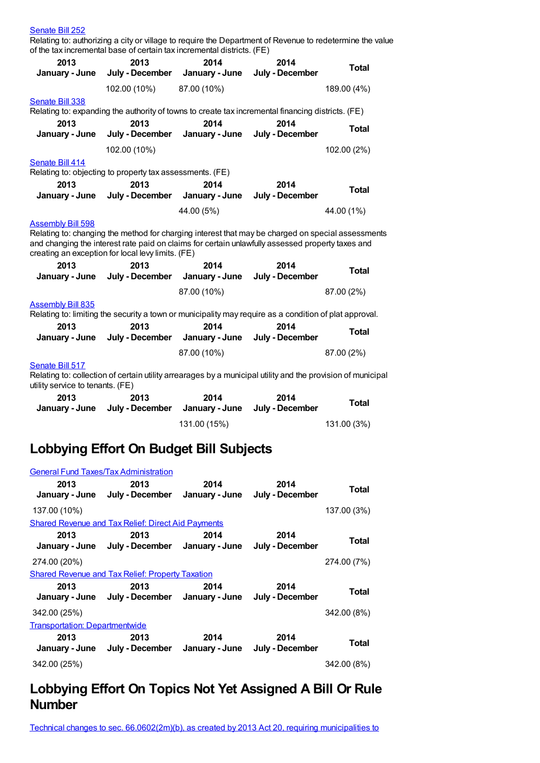| Relating to: authorizing a city or village to require the Department of Revenue to redetermine the value<br>of the tax incremental base of certain tax incremental districts. (FE) |                                                                                                                                                                                                                                                                                        |                |                 |              |  |  |
|------------------------------------------------------------------------------------------------------------------------------------------------------------------------------------|----------------------------------------------------------------------------------------------------------------------------------------------------------------------------------------------------------------------------------------------------------------------------------------|----------------|-----------------|--------------|--|--|
| 2013                                                                                                                                                                               | 2013                                                                                                                                                                                                                                                                                   | 2014           | 2014            |              |  |  |
| January - June                                                                                                                                                                     | July - December                                                                                                                                                                                                                                                                        | January - June | July - December | <b>Total</b> |  |  |
|                                                                                                                                                                                    | 102.00 (10%)                                                                                                                                                                                                                                                                           | 87.00 (10%)    |                 | 189.00 (4%)  |  |  |
| <b>Senate Bill 338</b>                                                                                                                                                             |                                                                                                                                                                                                                                                                                        |                |                 |              |  |  |
|                                                                                                                                                                                    | Relating to: expanding the authority of towns to create tax incremental financing districts. (FE)                                                                                                                                                                                      |                |                 |              |  |  |
| 2013                                                                                                                                                                               | 2013                                                                                                                                                                                                                                                                                   | 2014           | 2014            | <b>Total</b> |  |  |
| January - June                                                                                                                                                                     | July - December                                                                                                                                                                                                                                                                        | January - June | July - December |              |  |  |
|                                                                                                                                                                                    | 102.00 (10%)                                                                                                                                                                                                                                                                           |                |                 | 102.00 (2%)  |  |  |
| Senate Bill 414                                                                                                                                                                    |                                                                                                                                                                                                                                                                                        |                |                 |              |  |  |
|                                                                                                                                                                                    | Relating to: objecting to property tax assessments. (FE)                                                                                                                                                                                                                               |                |                 |              |  |  |
| 2013                                                                                                                                                                               | 2013                                                                                                                                                                                                                                                                                   | 2014           | 2014            | <b>Total</b> |  |  |
| January - June                                                                                                                                                                     | July - December                                                                                                                                                                                                                                                                        | January - June | July - December |              |  |  |
|                                                                                                                                                                                    |                                                                                                                                                                                                                                                                                        | 44.00 (5%)     |                 | 44.00 (1%)   |  |  |
|                                                                                                                                                                                    | <b>Assembly Bill 598</b><br>Relating to: changing the method for charging interest that may be charged on special assessments<br>and changing the interest rate paid on claims for certain unlawfully assessed property taxes and<br>creating an exception for local levy limits. (FE) |                |                 |              |  |  |
| 2013                                                                                                                                                                               | 2013                                                                                                                                                                                                                                                                                   | 2014           | 2014            | <b>Total</b> |  |  |
| January - June                                                                                                                                                                     | July - December                                                                                                                                                                                                                                                                        | January - June | July - December |              |  |  |
|                                                                                                                                                                                    |                                                                                                                                                                                                                                                                                        | 87.00 (10%)    |                 | 87.00 (2%)   |  |  |
| <b>Assembly Bill 835</b>                                                                                                                                                           |                                                                                                                                                                                                                                                                                        |                |                 |              |  |  |
|                                                                                                                                                                                    | Relating to: limiting the security a town or municipality may require as a condition of plat approval.                                                                                                                                                                                 |                |                 |              |  |  |
| 2013                                                                                                                                                                               | 2013                                                                                                                                                                                                                                                                                   | 2014           | 2014            | <b>Total</b> |  |  |
| January - June                                                                                                                                                                     | July - December                                                                                                                                                                                                                                                                        | January - June | July - December |              |  |  |
|                                                                                                                                                                                    |                                                                                                                                                                                                                                                                                        | 87.00 (10%)    |                 | 87.00 (2%)   |  |  |
| Senate Bill 517                                                                                                                                                                    |                                                                                                                                                                                                                                                                                        |                |                 |              |  |  |
| Relating to: collection of certain utility arrearages by a municipal utility and the provision of municipal<br>utility service to tenants. (FE)                                    |                                                                                                                                                                                                                                                                                        |                |                 |              |  |  |
| 2013                                                                                                                                                                               | 2013                                                                                                                                                                                                                                                                                   | 2014           | 2014            | <b>Total</b> |  |  |
| January - June                                                                                                                                                                     | July - December                                                                                                                                                                                                                                                                        | January - June | July - December |              |  |  |
|                                                                                                                                                                                    |                                                                                                                                                                                                                                                                                        | 131.00 (15%)   |                 | 131.00 (3%)  |  |  |

### **Lobbying Effort On Budget Bill Subjects**

[Senate](https://lobbying.wi.gov/What/BillInformation/2013REG/Information/10272?tab=Efforts) Bill 252

|                                       | <b>General Fund Taxes/Tax Administration</b>                          |      |                         |             |  |
|---------------------------------------|-----------------------------------------------------------------------|------|-------------------------|-------------|--|
| 2013                                  | 2013<br>January - June July - December January - June July - December | 2014 | 2014                    | Total       |  |
| 137.00 (10%)                          |                                                                       |      |                         | 137.00 (3%) |  |
|                                       | <b>Shared Revenue and Tax Relief: Direct Aid Payments</b>             |      |                         |             |  |
| 2013                                  | 2013<br>January - June July - December January - June July - December | 2014 | 2014                    | Total       |  |
| 274.00 (20%)                          |                                                                       |      |                         | 274.00 (7%) |  |
|                                       | <b>Shared Revenue and Tax Relief: Property Taxation</b>               |      |                         |             |  |
| 2013                                  | 2013<br>January - June July - December January - June                 | 2014 | 2014<br>July - December | Total       |  |
| 342.00 (25%)                          |                                                                       |      |                         | 342.00 (8%) |  |
| <b>Transportation: Departmentwide</b> |                                                                       |      |                         |             |  |
| 2013                                  | 2013<br>January - June July - December January - June July - December | 2014 | 2014                    | Total       |  |
| 342.00 (25%)                          |                                                                       |      |                         | 342.00 (8%) |  |

### **Lobbying Effort On Topics Not Yet Assigned A Bill Or Rule Number**